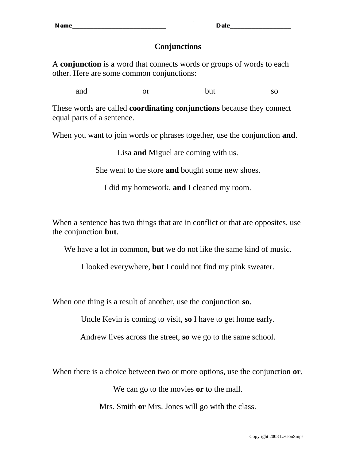Date

## **Conjunctions**

A **conjunction** is a word that connects words or groups of words to each other. Here are some common conjunctions:

and or but so

These words are called **coordinating conjunctions** because they connect equal parts of a sentence.

When you want to join words or phrases together, use the conjunction **and**.

Lisa **and** Miguel are coming with us.

She went to the store **and** bought some new shoes.

I did my homework, **and** I cleaned my room.

When a sentence has two things that are in conflict or that are opposites, use the conjunction **but**.

We have a lot in common, **but** we do not like the same kind of music.

I looked everywhere, **but** I could not find my pink sweater.

When one thing is a result of another, use the conjunction **so**.

Uncle Kevin is coming to visit, **so** I have to get home early.

Andrew lives across the street, **so** we go to the same school.

When there is a choice between two or more options, use the conjunction **or**.

We can go to the movies **or** to the mall.

Mrs. Smith **or** Mrs. Jones will go with the class.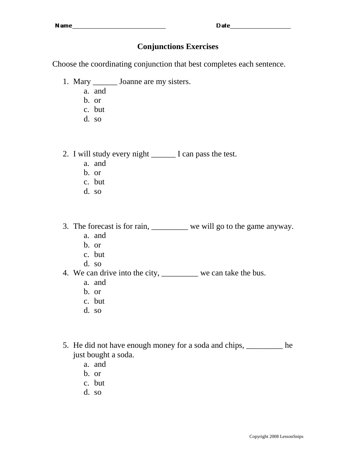## **Conjunctions Exercises**

Choose the coordinating conjunction that best completes each sentence.

- 1. Mary **Joanne are my sisters.** 
	- a. and
	- b. or
	- c. but
	- d. so
- 2. I will study every night I can pass the test.
	- a. and
	- b. or
	- c. but
	- d. so
- 3. The forecast is for rain, \_\_\_\_\_\_\_\_\_ we will go to the game anyway.
	- a. and
	- b. or
	- c. but
	- d. so
- 4. We can drive into the city, \_\_\_\_\_\_\_\_\_\_ we can take the bus.
	- a. and
	- b. or
	- c. but
	- d. so
- 5. He did not have enough money for a soda and chips, \_\_\_\_\_\_\_\_\_ he just bought a soda.
	- a. and
	- b. or
	- c. but
	- d. so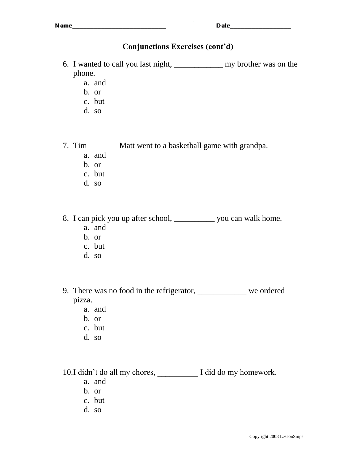## **Conjunctions Exercises (cont'd)**

- 6. I wanted to call you last night, \_\_\_\_\_\_\_\_\_\_\_\_ my brother was on the phone.
	- a. and
	- b. or
	- c. but
	- d. so

7. Tim \_\_\_\_\_\_\_ Matt went to a basketball game with grandpa.

- a. and
- b. or
- c. but
- d. so

8. I can pick you up after school, \_\_\_\_\_\_\_\_\_\_ you can walk home.

- a. and
- b. or
- c. but
- d. so

9. There was no food in the refrigerator, \_\_\_\_\_\_\_\_\_\_\_\_ we ordered pizza.

- a. and
- b. or
- c. but
- d. so

10.I didn't do all my chores, \_\_\_\_\_\_\_\_\_\_ I did do my homework.

- a. and
- b. or
- c. but
- d. so